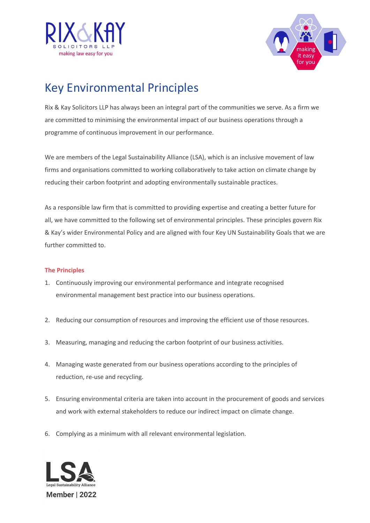



## Key Environmental Principles

Rix & Kay Solicitors LLP has always been an integral part of the communities we serve. As a firm we are committed to minimising the environmental impact of our business operations through a programme of continuous improvement in our performance.

We are members of the Legal Sustainability Alliance (LSA), which is an inclusive movement of law firms and organisations committed to working collaboratively to take action on climate change by reducing their carbon footprint and adopting environmentally sustainable practices.

As a responsible law firm that is committed to providing expertise and creating a better future for all, we have committed to the following set of environmental principles. These principles govern Rix & Kay's wider Environmental Policy and are aligned with four Key UN Sustainability Goals that we are further committed to.

## **The Principles**

- 1. Continuously improving our environmental performance and integrate recognised environmental management best practice into our business operations.
- 2. Reducing our consumption of resources and improving the efficient use of those resources.
- 3. Measuring, managing and reducing the carbon footprint of our business activities.
- 4. Managing waste generated from our business operations according to the principles of reduction, re-use and recycling.
- 5. Ensuring environmental criteria are taken into account in the procurement of goods and services and work with external stakeholders to reduce our indirect impact on climate change.
- 6. Complying as a minimum with all relevant environmental legislation.